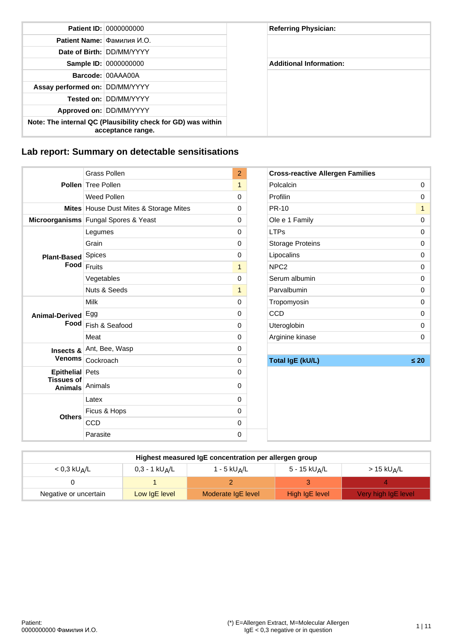|                                | <b>Patient ID: 0000000000</b>                                                     | <b>Referring Physician:</b>    |
|--------------------------------|-----------------------------------------------------------------------------------|--------------------------------|
|                                | Patient Name: Фамилия И.О.                                                        |                                |
|                                | Date of Birth: DD/MM/YYYY                                                         |                                |
|                                | <b>Sample ID: 0000000000</b>                                                      | <b>Additional Information:</b> |
|                                | Barcode: 00AAA00A                                                                 |                                |
| Assay performed on: DD/MM/YYYY |                                                                                   |                                |
|                                | <b>Tested on: DD/MM/YYYY</b>                                                      |                                |
|                                | Approved on: DD/MM/YYYY                                                           |                                |
|                                | Note: The internal QC (Plausibility check for GD) was within<br>acceptance range. |                                |

# **Lab report: Summary on detectable sensitisations**

|                                     | <b>Grass Pollen</b>                      | $\overline{2}$ | <b>Cross-reactive Allergen Families</b> |              |
|-------------------------------------|------------------------------------------|----------------|-----------------------------------------|--------------|
|                                     | Pollen Tree Pollen                       | $\mathbf{1}$   | Polcalcin                               | 0            |
|                                     | Weed Pollen                              | 0              | Profilin                                | $\Omega$     |
|                                     | Mites   House Dust Mites & Storage Mites | 0              | <b>PR-10</b>                            | $\mathbf{1}$ |
|                                     | Microorganisms Fungal Spores & Yeast     | 0              | Ole e 1 Family                          | 0            |
|                                     | Legumes                                  | 0              | <b>LTPs</b>                             | 0            |
|                                     | Grain                                    | 0              | <b>Storage Proteins</b>                 | 0            |
| Plant-Based Spices                  |                                          | 0              | Lipocalins                              | 0            |
|                                     | $\textsf{Food}\vert_{\textsf{Fruits}}$   | $\mathbf{1}$   | NPC <sub>2</sub>                        | 0            |
|                                     | Vegetables                               | 0              | Serum albumin                           | $\Omega$     |
|                                     | Nuts & Seeds                             | $\mathbf{1}$   | Parvalbumin                             | 0            |
|                                     | Milk                                     | 0              | Tropomyosin                             | 0            |
| Animal-Derived Egg                  |                                          | 0              | <b>CCD</b>                              | 0            |
|                                     | Food Fish & Seafood                      | 0              | Uteroglobin                             | 0            |
|                                     | Meat                                     | 0              | Arginine kinase                         | 0            |
|                                     | Insects & Ant, Bee, Wasp                 | 0              |                                         |              |
|                                     | Venoms   Cockroach                       | 0              | <b>Total IgE (kU/L)</b>                 | $\leq 20$    |
| Epithelial Pets                     |                                          | 0              |                                         |              |
| <b>Tissues of</b><br><b>Animals</b> | Animals                                  | 0              |                                         |              |
|                                     | Latex                                    | 0              |                                         |              |
|                                     | Ficus & Hops                             | 0              |                                         |              |
| <b>Others</b>                       | <b>CCD</b>                               | 0              |                                         |              |
|                                     | Parasite                                 | 0              |                                         |              |

| Parasite                   |                              | 0                                                     |                           |                          |
|----------------------------|------------------------------|-------------------------------------------------------|---------------------------|--------------------------|
|                            |                              | Highest measured IgE concentration per allergen group |                           |                          |
| $<$ 0,3 kU <sub>A</sub> /L | $0,3 - 1$ kU <sub>A</sub> /L | $1 - 5$ kU <sub>A</sub> /L                            | 5 - 15 kU <sub>A</sub> /L | $>15$ kU <sub>A</sub> /L |
|                            |                              |                                                       |                           |                          |
| Negative or uncertain      | Low IgE level                | Moderate IgE level                                    | High IgE level            | Very high IgE level      |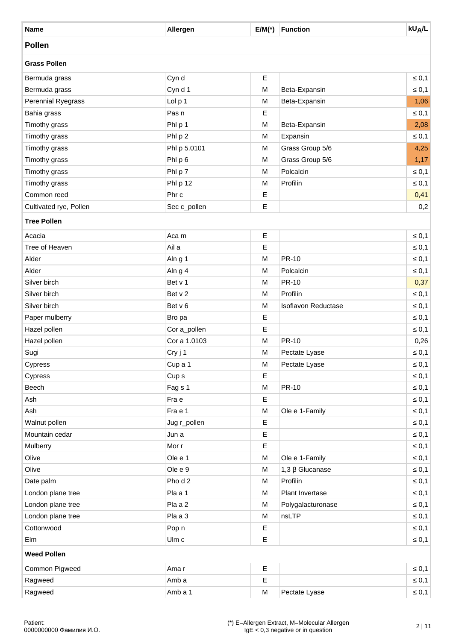| <b>Name</b>            | Allergen         | $E/M(*)$  | <b>Function</b>            | <b>kU<sub>A</sub>/L</b> |
|------------------------|------------------|-----------|----------------------------|-------------------------|
| <b>Pollen</b>          |                  |           |                            |                         |
| <b>Grass Pollen</b>    |                  |           |                            |                         |
| Bermuda grass          | Cyn d            | Е         |                            | $\leq 0,1$              |
| Bermuda grass          | Cyn d 1          | ${\sf M}$ | Beta-Expansin              | $\leq 0,1$              |
| Perennial Ryegrass     | Lol p 1          | M         | Beta-Expansin              | 1,06                    |
| Bahia grass            | Pas n            | Ε         |                            | $\leq 0,1$              |
| Timothy grass          | Phl p 1          | M         | Beta-Expansin              | 2,08                    |
| Timothy grass          | Phl p 2          | M         | Expansin                   | $\leq 0,1$              |
| Timothy grass          | Phl p 5.0101     | M         | Grass Group 5/6            | 4,25                    |
| Timothy grass          | Phl p 6          | M         | Grass Group 5/6            | 1,17                    |
| Timothy grass          | Phl p 7          | M         | Polcalcin                  | $\leq 0,1$              |
| Timothy grass          | Phl p 12         | M         | Profilin                   | $\leq 0,1$              |
| Common reed            | Phr c            | Ε         |                            | 0,41                    |
| Cultivated rye, Pollen | Sec c_pollen     | E         |                            | 0,2                     |
| <b>Tree Pollen</b>     |                  |           |                            |                         |
| Acacia                 | Aca m            | Ε         |                            | $\leq 0,1$              |
| Tree of Heaven         | Ail a            | Ε         |                            | $\leq 0,1$              |
| Alder                  | Aln g 1          | M         | <b>PR-10</b>               | $\leq 0,1$              |
| Alder                  | Aln g 4          | M         | Polcalcin                  | $\leq 0,1$              |
| Silver birch           | Bet v 1          | M         | <b>PR-10</b>               | 0,37                    |
| Silver birch           | Bet v 2          | ${\sf M}$ | Profilin                   | $\leq 0,1$              |
| Silver birch           | Bet v 6          | M         | <b>Isoflavon Reductase</b> | $\leq 0,1$              |
| Paper mulberry         | Bro pa           | Ε         |                            | $\leq 0,1$              |
| Hazel pollen           | Cor a_pollen     | Ε         |                            | $\leq 0,1$              |
| Hazel pollen           | Cor a 1.0103     | ${\sf M}$ | PR-10                      | 0,26                    |
| Sugi                   | Cry j 1          | M         | Pectate Lyase              | $\leq 0,1$              |
| Cypress                | Cup a 1          | M         | Pectate Lyase              | $\leq 0,1$              |
| Cypress                | Cup <sub>s</sub> | Е         |                            | $\leq 0,1$              |
| Beech                  | Fag s 1          | M         | PR-10                      | $\leq 0,1$              |
| Ash                    | Fra e            | Ε         |                            | $\leq 0,1$              |
| Ash                    | Fra e 1          | M         | Ole e 1-Family             | $\leq 0,1$              |
| Walnut pollen          | Jug r_pollen     | Ε         |                            | $\leq 0,1$              |
| Mountain cedar         | Jun a            | Ε         |                            | $\leq 0,1$              |
| Mulberry               | Mor r            | Ε         |                            | $\leq 0,1$              |
| Olive                  | Ole e 1          | M         | Ole e 1-Family             | $\leq 0,1$              |
| Olive                  | Ole e 9          | M         | $1,3 \beta$ Glucanase      | $\leq 0,1$              |
| Date palm              | Pho d 2          | M         | Profilin                   | $\leq 0,1$              |
| London plane tree      | Pla a 1          | M         | Plant Invertase            | $\leq 0,1$              |
| London plane tree      | Pla a 2          | M         | Polygalacturonase          | $\leq 0,1$              |
| London plane tree      | Pla a 3          | M         | nsLTP                      | $\leq 0,1$              |
| Cottonwood             | Pop n            | Ε         |                            | $\leq 0,1$              |
| Elm                    | Ulm c            | Ε         |                            | $\leq 0,1$              |
| <b>Weed Pollen</b>     |                  |           |                            |                         |
| Common Pigweed         | Ama r            | Ε         |                            | $\leq 0,1$              |
| Ragweed                | Amb a            | Ε         |                            | $\leq 0,1$              |
| Ragweed                | Amb a 1          | M         | Pectate Lyase              | $\leq 0,1$              |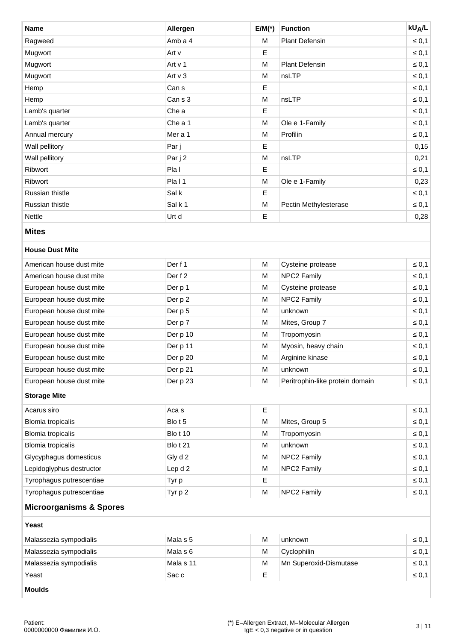| <b>Name</b>                        | Allergen        | $E/M(*)$ | <b>Function</b>                 | <b>kU<sub>A</sub>/L</b> |
|------------------------------------|-----------------|----------|---------------------------------|-------------------------|
| Ragweed                            | Amb a 4         | M        | <b>Plant Defensin</b>           | $\leq 0,1$              |
| Mugwort                            | Art v           | Е        |                                 | $\leq 0,1$              |
| Mugwort                            | Art v 1         | M        | <b>Plant Defensin</b>           | $\leq 0,1$              |
| Mugwort                            | Art $v_3$       | M        | nsLTP                           | $\leq 0,1$              |
| Hemp                               | Can s           | Е        |                                 | $\leq 0,1$              |
| Hemp                               | Can s 3         | M        | nsLTP                           | $\leq 0,1$              |
| Lamb's quarter                     | Che a           | Ε        |                                 | $\leq 0,1$              |
| Lamb's quarter                     | Che a 1         | M        | Ole e 1-Family                  | $\leq 0,1$              |
| Annual mercury                     | Mer a 1         | М        | Profilin                        | $\leq 0,1$              |
| Wall pellitory                     | Par j           | Ε        |                                 | 0,15                    |
| Wall pellitory                     | Par j 2         | M        | nsLTP                           | 0,21                    |
| Ribwort                            | Pla I           | Ε        |                                 | $\leq 0,1$              |
| Ribwort                            | Pla11           | M        | Ole e 1-Family                  | 0,23                    |
| Russian thistle                    | Sal k           | Ε        |                                 | $\leq 0,1$              |
| Russian thistle                    | Sal k 1         | M        | Pectin Methylesterase           | $\leq 0,1$              |
| Nettle                             | Urt d           | Ε        |                                 | 0,28                    |
| <b>Mites</b>                       |                 |          |                                 |                         |
| <b>House Dust Mite</b>             |                 |          |                                 |                         |
| American house dust mite           | Der f 1         | M        | Cysteine protease               | $\leq 0,1$              |
| American house dust mite           | Der f 2         | M        | NPC2 Family                     | $\leq 0,1$              |
| European house dust mite           | Der p 1         | М        | Cysteine protease               | $\leq 0,1$              |
| European house dust mite           | Der p 2         | M        | NPC2 Family                     | $\leq 0,1$              |
| European house dust mite           | Der p 5         | M        | unknown                         | $\leq 0,1$              |
| European house dust mite           | Der p 7         | М        | Mites, Group 7                  | $\leq 0,1$              |
| European house dust mite           | Der p 10        | M        | Tropomyosin                     | $\leq 0,1$              |
| European house dust mite           | Der p 11        | M        | Myosin, heavy chain             | $\leq 0,1$              |
| European house dust mite           | Der p 20        | M        | Arginine kinase                 | $\leq 0,1$              |
| European house dust mite           | Der p 21        | М        | unknown                         | $\leq 0,1$              |
| European house dust mite           | Der p 23        | М        | Peritrophin-like protein domain | $\leq 0,1$              |
| <b>Storage Mite</b>                |                 |          |                                 |                         |
| Acarus siro                        | Aca s           | Ε        |                                 | $\leq 0,1$              |
| <b>Blomia tropicalis</b>           |                 |          | Mites, Group 5                  |                         |
|                                    | Blot 5          | M        |                                 | $\leq 0,1$              |
| <b>Blomia tropicalis</b>           | <b>Blo t 10</b> | M        | Tropomyosin                     | $\leq 0,1$              |
| <b>Blomia tropicalis</b>           | Blot 21         | М        | unknown                         | $\leq 0,1$              |
| Glycyphagus domesticus             | Gly d 2         | М        | NPC2 Family                     | $\leq 0,1$              |
| Lepidoglyphus destructor           | Lep d 2         | M        | NPC2 Family                     | $\leq 0,1$              |
| Tyrophagus putrescentiae           | Tyr p           | Ε        |                                 | $\leq 0,1$              |
| Tyrophagus putrescentiae           | Tyr p 2         | M        | NPC2 Family                     | $\leq 0,1$              |
| <b>Microorganisms &amp; Spores</b> |                 |          |                                 |                         |
| Yeast                              |                 |          |                                 |                         |
| Malassezia sympodialis             | Mala s 5        | M        | unknown                         | $\leq 0,1$              |
| Malassezia sympodialis             | Mala s 6        | M        | Cyclophilin                     | $\leq 0,1$              |
| Malassezia sympodialis             | Mala s 11       | M        | Mn Superoxid-Dismutase          | $\leq 0,1$              |
| Yeast                              | Sac c           | Ε        |                                 | $\leq 0,1$              |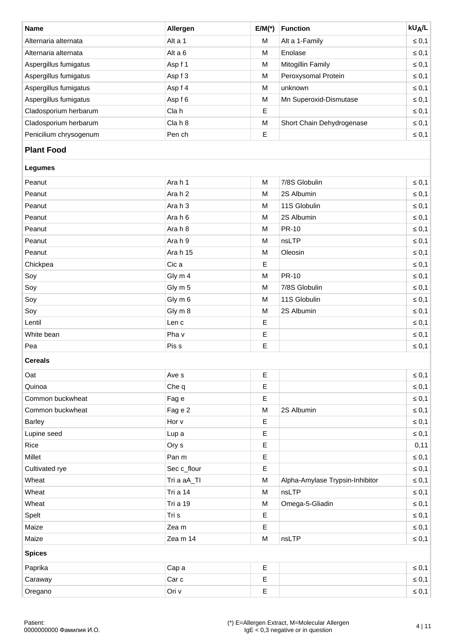| <b>Name</b>            | Allergen | $E/M(*)$ | <b>Function</b>           | <b>kUA/L</b> |
|------------------------|----------|----------|---------------------------|--------------|
| Alternaria alternata   | Alt a 1  | M        | Alt a 1-Family            | $\leq 0,1$   |
| Alternaria alternata   | Alt a 6  | M        | Enolase                   | $\leq 0.1$   |
| Aspergillus fumigatus  | Asp f 1  | M        | Mitogillin Family         | $\leq 0,1$   |
| Aspergillus fumigatus  | Asp f 3  | M        | Peroxysomal Protein       | $\leq 0,1$   |
| Aspergillus fumigatus  | Asp f 4  | M        | unknown                   | $\leq 0,1$   |
| Aspergillus fumigatus  | Asp f 6  | M        | Mn Superoxid-Dismutase    | $\leq 0,1$   |
| Cladosporium herbarum  | Cla h    | E        |                           | $\leq 0,1$   |
| Cladosporium herbarum  | Cla h 8  | M        | Short Chain Dehydrogenase | $\leq 0,1$   |
| Penicilium chrysogenum | Pen ch   | Ε        |                           | $\leq 0,1$   |

# **Plant Food**

| Legumes |  |
|---------|--|
|         |  |

| Peanut     | Arah 1   | M | 7/8S Globulin | $\leq 0,1$ |
|------------|----------|---|---------------|------------|
| Peanut     | Arah 2   | М | 2S Albumin    | $\leq 0,1$ |
| Peanut     | Arah 3   | M | 11S Globulin  | $\leq 0,1$ |
| Peanut     | Arah 6   | M | 2S Albumin    | $\leq 0,1$ |
| Peanut     | Arah 8   | M | <b>PR-10</b>  | $\leq 0,1$ |
| Peanut     | Arah 9   | M | nsLTP         | $\leq 0,1$ |
| Peanut     | Ara h 15 | М | Oleosin       | $\leq 0,1$ |
| Chickpea   | Cic a    | E |               | $\leq 0,1$ |
| Soy        | Gly m 4  | M | PR-10         | $\leq 0,1$ |
| Soy        | Gly m 5  | M | 7/8S Globulin | $\leq 0,1$ |
| Soy        | Gly m 6  | M | 11S Globulin  | $\leq 0,1$ |
| Soy        | Gly m 8  | М | 2S Albumin    | $\leq 0,1$ |
| Lentil     | Len c    | Е |               | $\leq 0,1$ |
| White bean | Pha v    | E |               | $\leq 0,1$ |
| Pea        | Pis s    | Ε |               | $\leq 0,1$ |

### **Cereals**

| Oat              | Ave s           | Ε           |                                 | $\leq 0,1$ |
|------------------|-----------------|-------------|---------------------------------|------------|
| Quinoa           | Che q           | $\mathsf E$ |                                 | $\leq 0,1$ |
|                  |                 |             |                                 |            |
| Common buckwheat | Fag e           | $\mathsf E$ |                                 | $\leq 0,1$ |
| Common buckwheat | Fag e 2         | M           | 2S Albumin                      | $\leq 0,1$ |
| <b>Barley</b>    | Hor v           | $\mathsf E$ |                                 | $\leq 0,1$ |
| Lupine seed      | Lup a           | Ε           |                                 | $\leq 0,1$ |
| Rice             | Ory s           | $\mathsf E$ |                                 | 0,11       |
| Millet           | Pan m           | $\mathsf E$ |                                 | $\leq 0,1$ |
| Cultivated rye   | Sec c_flour     | Е           |                                 | $\leq 0,1$ |
| Wheat            | Tri a aA_TI     | M           | Alpha-Amylase Trypsin-Inhibitor | $\leq 0,1$ |
| Wheat            | <b>Tri a 14</b> | M           | nsLTP                           | $\leq 0,1$ |
| Wheat            | <b>Tri a 19</b> | M           | Omega-5-Gliadin                 | $\leq 0,1$ |
| Spelt            | Tri s           | $\mathsf E$ |                                 | $\leq 0,1$ |
| Maize            | Zea m           | Ε           |                                 | $\leq 0,1$ |
| Maize            | Zea m 14        | M           | nsLTP                           | $\leq 0,1$ |
| <b>Spices</b>    |                 |             |                                 |            |
| Paprika          | Cap a           | $\mathsf E$ |                                 | $\leq 0,1$ |
| Caraway          | Car c           | E           |                                 | $\leq 0,1$ |
| Oregano          | Ori v           | $\mathsf E$ |                                 | $\leq 0,1$ |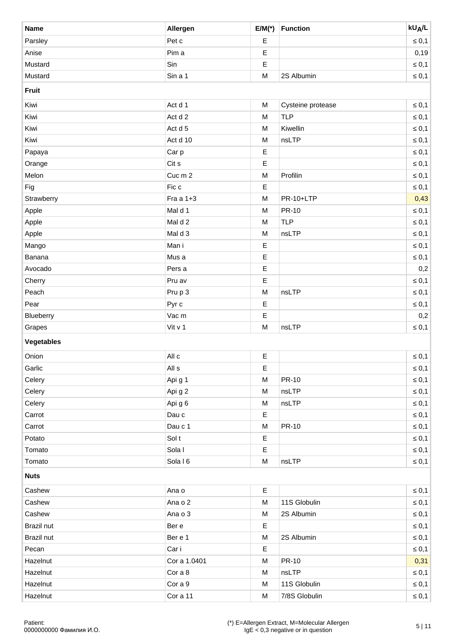| <b>Name</b>       | Allergen     | $E/M(*)$    | <b>Function</b>   | <b>kU<sub>A</sub>/L</b> |
|-------------------|--------------|-------------|-------------------|-------------------------|
| Parsley           | Pet c        | Ε           |                   | $\leq 0,1$              |
| Anise             | Pim a        | Ε           |                   | 0,19                    |
| Mustard           | Sin          | Ε           |                   | $\leq 0,1$              |
| Mustard           | Sin a 1      | ${\sf M}$   | 2S Albumin        | $\leq 0,1$              |
| <b>Fruit</b>      |              |             |                   |                         |
| Kiwi              | Act d 1      | M           | Cysteine protease | $\leq 0,1$              |
| Kiwi              | Act d 2      | M           | <b>TLP</b>        | $\leq 0,1$              |
| Kiwi              | Act d 5      | M           | Kiwellin          | $\leq 0,1$              |
| Kiwi              | Act d 10     | ${\sf M}$   | nsLTP             | $\leq 0,1$              |
| Papaya            | Car p        | Ε           |                   | $\leq 0,1$              |
| Orange            | Cit s        | Ε           |                   | $\leq 0,1$              |
| Melon             | Cuc m 2      | ${\sf M}$   | Profilin          | $\leq 0,1$              |
| Fig               | Fic c        | Ε           |                   | $\leq 0,1$              |
| Strawberry        | Fra a $1+3$  | ${\sf M}$   | PR-10+LTP         | 0,43                    |
| Apple             | Mal d 1      | M           | PR-10             | $\leq 0,1$              |
| Apple             | Mal d 2      | ${\sf M}$   | <b>TLP</b>        | $\leq 0,1$              |
| Apple             | Mal d 3      | M           | nsLTP             | $\leq 0,1$              |
| Mango             | Man i        | Ε           |                   | $\leq 0,1$              |
| Banana            | Mus a        | Ε           |                   | $\leq 0,1$              |
| Avocado           | Pers a       | E           |                   | 0,2                     |
| Cherry            | Pru av       | Ε           |                   | $\leq 0,1$              |
| Peach             | Pru p 3      | ${\sf M}$   | nsLTP             | $\leq 0,1$              |
| Pear              | Pyr c        | Ε           |                   | $\leq 0,1$              |
| Blueberry         | Vac m        | Ε           |                   | 0,2                     |
| Grapes            | Vit $v_1$    | M           | nsLTP             | $\leq 0,1$              |
| <b>Vegetables</b> |              |             |                   |                         |
| Onion             | All c        | $\mathsf E$ |                   | $\leq 0,1$              |
| Garlic            | All s        | Ε           |                   | $\leq 0,1$              |
| Celery            | Api g 1      | M           | PR-10             | $\leq 0,1$              |
| Celery            | Api g 2      | M           | nsLTP             | $\leq 0,1$              |
| Celery            | Api g 6      | M           | nsLTP             | $\leq 0,1$              |
| Carrot            | Dau c        | Е           |                   | $\leq 0,1$              |
| Carrot            | Dau c 1      | M           | PR-10             | $\leq 0,1$              |
| Potato            | Sol t        | Ε           |                   | $\leq 0,1$              |
| Tomato            | Sola I       | Ε           |                   | $\leq 0,1$              |
| Tomato            | Sola I 6     | M           | nsLTP             | $\leq 0,1$              |
| <b>Nuts</b>       |              |             |                   |                         |
| Cashew            | Ana o        | Е           |                   | $\leq 0,1$              |
| Cashew            | Ana o 2      | M           | 11S Globulin      | $\leq 0,1$              |
| Cashew            | Ana o 3      | M           | 2S Albumin        | $\leq 0,1$              |
| Brazil nut        | Ber e        | Ε           |                   | $\leq 0,1$              |
| Brazil nut        | Ber e 1      | M           | 2S Albumin        | $\leq 0,1$              |
| Pecan             | Car i        | Е           |                   | $\leq 0,1$              |
| Hazelnut          | Cor a 1.0401 | М           | PR-10             | 0,31                    |
| Hazelnut          | Cor a 8      | M           | nsLTP             | $\leq 0,1$              |
| Hazelnut          | Cor a 9      | М           | 11S Globulin      | $\leq 0,1$              |
| Hazelnut          | Cor a 11     | M           | 7/8S Globulin     | $\leq 0,1$              |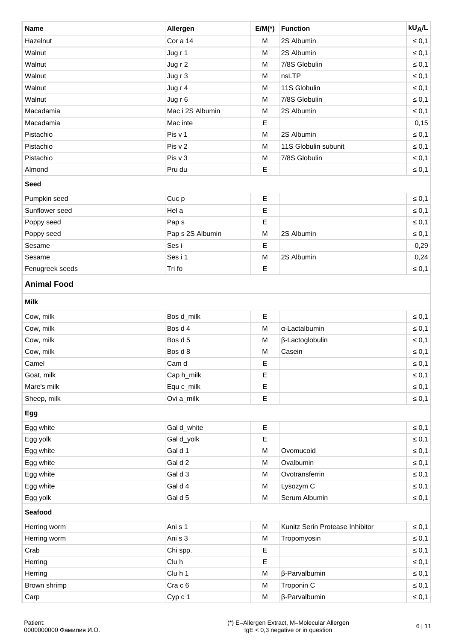| <b>Name</b>              | Allergen         | $E/M(*)$    | <b>Function</b>                 | <b>kU<sub>A</sub>/L</b> |
|--------------------------|------------------|-------------|---------------------------------|-------------------------|
| Hazelnut                 | Cor a 14         | M           | 2S Albumin                      | $\leq 0,1$              |
| Walnut                   | Jug r 1          | M           | 2S Albumin                      | $\leq 0,1$              |
| Walnut                   | Jug r 2          | M           | 7/8S Globulin                   | $\leq 0,1$              |
| Walnut                   | Jug r 3          | M           | nsLTP                           | $\leq 0,1$              |
| Walnut                   | Jug r 4          | M           | 11S Globulin                    | $\leq 0,1$              |
| Walnut                   | Jug r 6          | M           | 7/8S Globulin                   | $\leq 0,1$              |
| Macadamia                | Mac i 2S Albumin | M           | 2S Albumin                      | $\leq 0,1$              |
| Macadamia                | Mac inte         | E           |                                 | 0,15                    |
| Pistachio                | Pis v 1          | M           | 2S Albumin                      | $\leq 0,1$              |
| Pistachio                | Pis v 2          | M           | 11S Globulin subunit            | $\leq 0,1$              |
| Pistachio                | Pis v 3          | M           | 7/8S Globulin                   | $\leq 0,1$              |
| Almond                   | Pru du           | $\mathsf E$ |                                 | $\leq 0,1$              |
| <b>Seed</b>              |                  |             |                                 |                         |
| Pumpkin seed             | Cuc p            | E           |                                 | $\leq 0,1$              |
| Sunflower seed           | Hel a            | E           |                                 | $\leq 0,1$              |
| Poppy seed               | Pap s            | $\mathsf E$ |                                 | $\leq 0,1$              |
| Poppy seed               | Pap s 2S Albumin | M           | 2S Albumin                      | $\leq 0,1$              |
| Sesame                   | Ses i            | $\mathsf E$ |                                 | 0,29                    |
| Sesame                   | Ses i 1          | M           | 2S Albumin                      | 0,24                    |
| Fenugreek seeds          | Tri fo           | $\mathsf E$ |                                 | $\leq 0,1$              |
| <b>Milk</b><br>Cow, milk | Bos d_milk       | $\mathsf E$ |                                 | $\leq 0,1$              |
|                          |                  |             |                                 |                         |
| Cow, milk                | Bos d 4          | M           | α-Lactalbumin                   | $\leq 0,1$              |
| Cow, milk                | Bos d 5          | M           | β-Lactoglobulin                 | $\leq 0,1$              |
| Cow, milk                | Bos d 8          | M           | Casein                          | $\leq 0,1$              |
| Camel                    | Cam d            | Е           |                                 | $\leq 0,1$              |
| Goat, milk               | Cap h_milk       | E           |                                 | $\leq 0,1$              |
| Mare's milk              | Equ c_milk       | $\mathsf E$ |                                 | $\leq 0,1$              |
| Sheep, milk              | Ovi a_milk       | E           |                                 | $\leq 0,1$              |
| Egg                      |                  |             |                                 |                         |
| Egg white                | Gal d_white      | Е           |                                 | $\leq 0,1$              |
| Egg yolk                 | Gal d_yolk       | $\mathsf E$ |                                 | $\leq 0,1$              |
| Egg white                | Gal d 1          | M           | Ovomucoid                       | $\leq 0,1$              |
| Egg white                | Gal d 2          | M           | Ovalbumin                       | $\leq 0,1$              |
| Egg white                | Gal d 3          | M           | Ovotransferrin                  | $\leq 0,1$              |
| Egg white                | Gal d 4          | M           | Lysozym C                       | $\leq 0,1$              |
| Egg yolk                 | Gal d 5          | M           | Serum Albumin                   | $\leq 0,1$              |
| <b>Seafood</b>           |                  |             |                                 |                         |
| Herring worm             | Ani s 1          | M           | Kunitz Serin Protease Inhibitor | $\leq 0,1$              |
| Herring worm             | Ani s 3          | M           | Tropomyosin                     | $\leq 0,1$              |
| Crab                     | Chi spp.         | Ε           |                                 | $\leq 0,1$              |
| Herring                  | Clu h            | E           |                                 | $\leq 0,1$              |
| Herring                  | Clu h 1          | M           | β-Parvalbumin                   | $\leq 0,1$              |
| Brown shrimp             | Cra c 6          | M           | Troponin C                      | $\leq 0,1$              |
| Carp                     | Cyp c 1          | M           | β-Parvalbumin                   | $\leq 0,1$              |
|                          |                  |             |                                 |                         |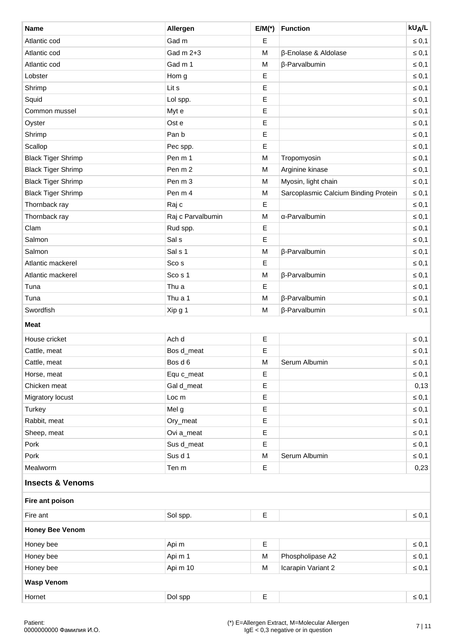| <b>Name</b>                 | Allergen          | $E/M(*)$    | <b>Function</b>                      | <b>kU<sub>A</sub>/L</b> |
|-----------------------------|-------------------|-------------|--------------------------------------|-------------------------|
| Atlantic cod                | Gad m             | Ε           |                                      | $\leq 0,1$              |
| Atlantic cod                | Gad m 2+3         | M           | β-Enolase & Aldolase                 | $\leq 0,1$              |
| Atlantic cod                | Gad m 1           | M           | β-Parvalbumin                        | $\leq 0,1$              |
| Lobster                     | Hom g             | Ε           |                                      | $\leq 0,1$              |
| Shrimp                      | Lit s             | Ε           |                                      | $\leq 0,1$              |
| Squid                       | Lol spp.          | Ε           |                                      | $\leq 0,1$              |
| Common mussel               | Myt e             | $\mathsf E$ |                                      | $\leq 0,1$              |
| Oyster                      | Ost e             | Ε           |                                      | $\leq 0,1$              |
| Shrimp                      | Pan b             | Ε           |                                      | $\leq 0,1$              |
| Scallop                     | Pec spp.          | Ε           |                                      | $\leq 0,1$              |
| <b>Black Tiger Shrimp</b>   | Pen m 1           | ${\sf M}$   | Tropomyosin                          | $\leq 0,1$              |
| <b>Black Tiger Shrimp</b>   | Pen m 2           | M           | Arginine kinase                      | $\leq 0,1$              |
| <b>Black Tiger Shrimp</b>   | Pen m 3           | M           | Myosin, light chain                  | $\leq 0,1$              |
| <b>Black Tiger Shrimp</b>   | Pen m 4           | M           | Sarcoplasmic Calcium Binding Protein | $\leq 0,1$              |
| Thornback ray               | Raj c             | Ε           |                                      | $\leq 0,1$              |
| Thornback ray               | Raj c Parvalbumin | M           | α-Parvalbumin                        | $\leq 0,1$              |
| Clam                        | Rud spp.          | Ε           |                                      | $\leq 0,1$              |
| Salmon                      | Sal s             | Ε           |                                      | $\leq 0,1$              |
| Salmon                      | Sal s 1           | M           | β-Parvalbumin                        | $\leq 0,1$              |
| Atlantic mackerel           | Sco s             | Ε           |                                      | $\leq 0,1$              |
| Atlantic mackerel           | Sco s 1           | M           | β-Parvalbumin                        | $\leq 0,1$              |
| Tuna                        | Thu a             | $\mathsf E$ |                                      | $\leq 0,1$              |
| Tuna                        | Thu a 1           | M           | β-Parvalbumin                        | $\leq 0,1$              |
| Swordfish                   | Xip g 1           | M           | β-Parvalbumin                        | $\leq 0,1$              |
| Meat                        |                   |             |                                      |                         |
| House cricket               | Ach d             | Ε           |                                      | $\leq 0,1$              |
| Cattle, meat                | Bos d_meat        | Ε           |                                      | $\leq 0,1$              |
| Cattle, meat                | Bos d 6           | M           | Serum Albumin                        | $\leq 0,1$              |
| Horse, meat                 | Equ c_meat        | Ε           |                                      | $\leq 0,1$              |
| Chicken meat                | Gal d_meat        | Ε           |                                      | 0,13                    |
| Migratory locust            | Loc m             | Ε           |                                      | $\leq 0,1$              |
| Turkey                      | Mel g             | Ε           |                                      | $\leq 0,1$              |
| Rabbit, meat                | Ory_meat          | Ε           |                                      | $\leq 0,1$              |
| Sheep, meat                 | Ovi a_meat        | Ε           |                                      | $\leq 0,1$              |
| Pork                        | Sus d_meat        | $\mathsf E$ |                                      | $\leq 0,1$              |
| Pork                        | Sus d 1           | M           | Serum Albumin                        | $\leq 0,1$              |
| Mealworm                    | Ten m             | Ε           |                                      | 0,23                    |
| <b>Insects &amp; Venoms</b> |                   |             |                                      |                         |
| Fire ant poison             |                   |             |                                      |                         |
| Fire ant                    | Sol spp.          | Ε           |                                      | $\leq 0,1$              |
| <b>Honey Bee Venom</b>      |                   |             |                                      |                         |
| Honey bee                   | Api m             | Ε           |                                      | $\leq 0,1$              |
| Honey bee                   | Api m 1           | M           | Phospholipase A2                     | $\leq 0,1$              |
| Honey bee                   | Api m 10          | M           | Icarapin Variant 2                   | $\leq 0,1$              |
| <b>Wasp Venom</b>           |                   |             |                                      |                         |
| Hornet                      | Dol spp           | $\mathsf E$ |                                      | $\leq 0,1$              |
|                             |                   |             |                                      |                         |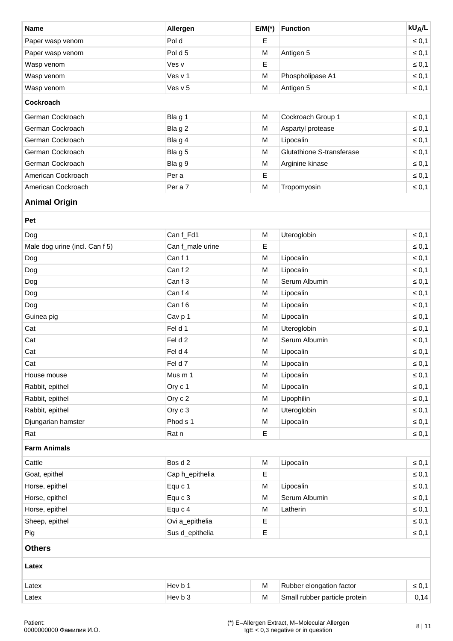| <b>Name</b>                    | Allergen         | $E/M(*)$             | <b>Function</b>              | <b>kU<sub>A</sub>/L</b> |
|--------------------------------|------------------|----------------------|------------------------------|-------------------------|
| Paper wasp venom               | Pol d            | E                    |                              | $\leq 0,1$              |
| Paper wasp venom               | Pol d 5          | M                    | Antigen 5                    | $\leq 0,1$              |
| Wasp venom                     | Ves v            | E                    |                              | $\leq 0,1$              |
| Wasp venom                     | Yes v 1          | M                    | Phospholipase A1             | $\leq 0,1$              |
| Wasp venom                     | Ves v 5          | M                    | Antigen 5                    | $\leq 0,1$              |
| <b>Cockroach</b>               |                  |                      |                              |                         |
| German Cockroach               | Bla g 1          | M                    | Cockroach Group 1            | $\leq 0,1$              |
| German Cockroach               | Blag 2           | M                    | Aspartyl protease            | $\leq 0,1$              |
| German Cockroach               | Bla g 4          | M                    | Lipocalin                    | $\leq 0,1$              |
| German Cockroach               | Blag 5           | M                    | Glutathione S-transferase    | $\leq 0,1$              |
| German Cockroach               | Blag 9           | M                    | Arginine kinase              | $\leq 0,1$              |
| American Cockroach             | Per a            | $\mathsf E$          |                              | $\leq 0,1$              |
| American Cockroach             | Per a 7          | M                    | Tropomyosin                  | $\leq 0,1$              |
| <b>Animal Origin</b>           |                  |                      |                              |                         |
| Pet                            |                  |                      |                              |                         |
| Dog                            | Can f_Fd1        | M                    | Uteroglobin                  | $\leq 0,1$              |
| Male dog urine (incl. Can f 5) | Can f_male urine | Е                    |                              | $\leq 0,1$              |
| $\sim$ $\sim$                  | $\sim$ $\sim$    | $\ddot{\phantom{1}}$ | and the contract of the con- | $\sim$ $\sim$ $\sim$    |

| Male dog urine (incl. Can f 5) | Can f_male urine | Е |               | $\leq 0,1$ |
|--------------------------------|------------------|---|---------------|------------|
| Dog                            | Can f 1          | M | Lipocalin     | $\leq 0,1$ |
| Dog                            | Can f 2          | М | Lipocalin     | $\leq 0,1$ |
| Dog                            | Can f 3          | м | Serum Albumin | $\leq 0,1$ |
| Dog                            | Can f 4          | М | Lipocalin     | $\leq 0,1$ |
| Dog                            | Can f 6          | M | Lipocalin     | $\leq 0,1$ |
| Guinea pig                     | Cav p 1          | M | Lipocalin     | $\leq 0,1$ |
| Cat                            | Fel d 1          | М | Uteroglobin   | $\leq 0,1$ |
| Cat                            | Fel d 2          | М | Serum Albumin | $\leq 0,1$ |
| Cat                            | Fel d 4          | М | Lipocalin     | $\leq 0,1$ |
| Cat                            | Fel d 7          | M | Lipocalin     | $\leq 0,1$ |
| House mouse                    | Mus m 1          | M | Lipocalin     | $\leq 0,1$ |
| Rabbit, epithel                | Ory c 1          | М | Lipocalin     | $\leq 0,1$ |
| Rabbit, epithel                | Ory c 2          | М | Lipophilin    | $\leq 0,1$ |
| Rabbit, epithel                | Ory c 3          | М | Uteroglobin   | $\leq 0,1$ |
| Djungarian hamster             | Phod s 1         | M | Lipocalin     | $\leq 0,1$ |
| Rat                            | Rat n            | Ε |               | $\leq 0,1$ |
|                                |                  |   |               |            |

## **Farm Animals**

| Cattle         | Bos d 2         | M | Lipocalin     | $\leq 0,1$ |
|----------------|-----------------|---|---------------|------------|
| Goat, epithel  | Cap h_epithelia | Ε |               | $\leq 0,1$ |
| Horse, epithel | Equ c 1         | M | Lipocalin     | $\leq 0,1$ |
| Horse, epithel | Equ c 3         | M | Serum Albumin | $\leq 0,1$ |
| Horse, epithel | Equ c 4         | M | Latherin      | $\leq 0,1$ |
| Sheep, epithel | Ovi a_epithelia | Ε |               | $\leq 0,1$ |
| Pig            | Sus d_epithelia | Ε |               | $\leq 0,1$ |

| Latex | ⊣ Hev hi        | M | Rubber<br>r elongation factor                 | ـ. ب -   |
|-------|-----------------|---|-----------------------------------------------|----------|
| Latex | ⊣ Hev hi<br>ັບພ | M | `mol.<br>particle protein :<br>rubber<br>idil | 14<br>◡… |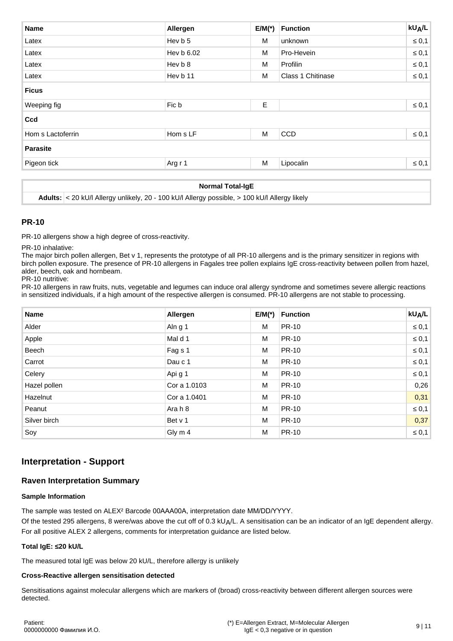| <b>Name</b>       | Allergen   | $E/M(*)$ | <b>Function</b>   | $kU_A/L$   |
|-------------------|------------|----------|-------------------|------------|
| Latex             | Hev b 5    | M        | unknown           | $\leq 0,1$ |
| Latex             | Hev b 6.02 | М        | Pro-Hevein        | $\leq 0,1$ |
| Latex             | Hev b 8    | M        | Profilin          | $\leq 0,1$ |
| Latex             | Hev b 11   | M        | Class 1 Chitinase | $\leq 0,1$ |
| <b>Ficus</b>      |            |          |                   |            |
| Weeping fig       | Fic b      | Ε        |                   | $\leq 0,1$ |
|                   |            |          |                   |            |
| Ccd               |            |          |                   |            |
| Hom s Lactoferrin | Hom s LF   | M        | <b>CCD</b>        | $\leq 0,1$ |
| <b>Parasite</b>   |            |          |                   |            |

#### **Normal Total-IgE**

**Adults:** < 20 kU/l Allergy unlikely, 20 - 100 kU/l Allergy possible, > 100 kU/l Allergy likely

#### **PR-10**

PR-10 allergens show a high degree of cross-reactivity.

PR-10 inhalative:

The major birch pollen allergen, Bet v 1, represents the prototype of all PR-10 allergens and is the primary sensitizer in regions with birch pollen exposure. The presence of PR-10 allergens in Fagales tree pollen explains IgE cross-reactivity between pollen from hazel, alder, beech, oak and hornbeam.

PR-10 nutritive:

PR-10 allergens in raw fruits, nuts, vegetable and legumes can induce oral allergy syndrome and sometimes severe allergic reactions in sensitized individuals, if a high amount of the respective allergen is consumed. PR-10 allergens are not stable to processing.

| <b>Name</b>  | Allergen     | $E/M(*)$ | <b>Function</b> | $kU_A/L$   |
|--------------|--------------|----------|-----------------|------------|
| Alder        | Aln g 1      | M        | <b>PR-10</b>    | $\leq 0,1$ |
| Apple        | Mal d 1      | M        | <b>PR-10</b>    | $\leq 0,1$ |
| Beech        | Fag s 1      | M        | <b>PR-10</b>    | $\leq 0,1$ |
| Carrot       | Dau c 1      | M        | <b>PR-10</b>    | $\leq 0,1$ |
| Celery       | Api g 1      | M        | <b>PR-10</b>    | $\leq 0,1$ |
| Hazel pollen | Cor a 1,0103 | M        | <b>PR-10</b>    | 0,26       |
| Hazelnut     | Cor a 1,0401 | M        | <b>PR-10</b>    | 0,31       |
| Peanut       | Arah 8       | M        | <b>PR-10</b>    | $\leq 0,1$ |
| Silver birch | Bet v 1      | M        | <b>PR-10</b>    | 0,37       |
| Soy          | Gly m 4      | M        | <b>PR-10</b>    | $\leq 0,1$ |

# **Interpretation - Support**

### **Raven Interpretation Summary**

#### **Sample Information**

The sample was tested on ALEX² Barcode 00AAA00A, interpretation date MM/DD/YYYY.

Of the tested 295 allergens, 8 were/was above the cut off of 0.3 kU $\Delta/L$ . A sensitisation can be an indicator of an IgE dependent allergy. For all positive ALEX 2 allergens, comments for interpretation guidance are listed below.

#### **Total IgE: ≤20 kU/L**

The measured total IgE was below 20 kU/L, therefore allergy is unlikely

#### **Cross-Reactive allergen sensitisation detected**

Sensitisations against molecular allergens which are markers of (broad) cross-reactivity between different allergen sources were detected.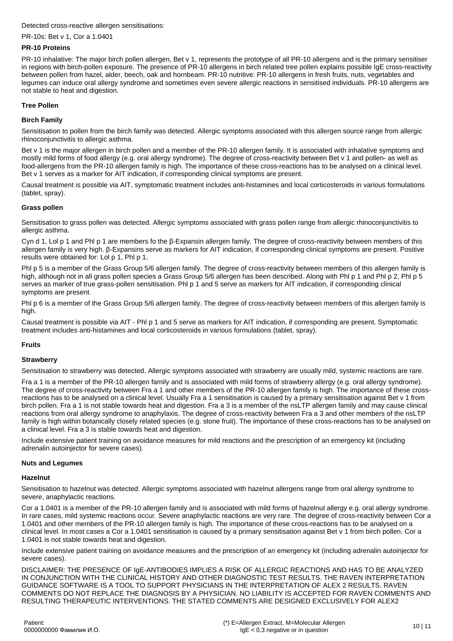#### Detected cross-reactive allergen sensitisations:

#### PR-10s: Bet v 1, Cor a 1.0401

#### **PR-10 Proteins**

PR-10 inhalative: The major birch pollen allergen, Bet v 1, represents the prototype of all PR-10 allergens and is the primary sensitiser in regions with birch-pollen exposure. The presence of PR-10 allergens in birch related tree pollen explains possible IgE cross-reactivity between pollen from hazel, alder, beech, oak and hornbeam. PR-10 nutritive: PR-10 allergens in fresh fruits, nuts, vegetables and legumes can induce oral allergy syndrome and sometimes even severe allergic reactions in sensitised individuals. PR-10 allergens are not stable to heat and digestion.

#### **Tree Pollen**

#### **Birch Family**

Sensitisation to pollen from the birch family was detected. Allergic symptoms associated with this allergen source range from allergic rhinoconjunctivitis to allergic asthma.

Bet v 1 is the major allergen in birch pollen and a member of the PR-10 allergen family. It is associated with inhalative symptoms and mostly mild forms of food allergy (e.g. oral allergy syndrome). The degree of cross-reactivity between Bet y 1 and pollen- as well as food-allergens from the PR-10 allergen family is high. The importance of these cross-reactions has to be analysed on a clinical level. Bet v 1 serves as a marker for AIT indication, if corresponding clinical symptoms are present.

Causal treatment is possible via AIT, symptomatic treatment includes anti-histamines and local corticosteroids in various formulations (tablet, spray).

#### **Grass pollen**

Sensitisation to grass pollen was detected. Allergic symptoms associated with grass pollen range from allergic rhinoconjunctivitis to allergic asthma.

Cyn d 1, Lol p 1 and Phl p 1 are members fo the β-Expansin allergen family. The degree of cross-reactivity between members of this allergen family is very high. β-Expansins serve as markers for AIT indication, if corresponding clinical symptoms are present. Positive results were obtained for: Lol p 1, Phl p 1.

Phl p 5 is a member of the Grass Group 5/6 allergen family. The degree of cross-reactivity between members of this allergen family is high, although not in all grass pollen species a Grass Group 5/6 allergen has been described. Along with Phl p 1 and Phl p 2, Phl p 5 serves as marker of true grass-pollen sensitisation. Phl p 1 and 5 serve as markers for AIT indication, if corresponding clinical symptoms are present.

Phl p 6 is a member of the Grass Group 5/6 allergen family. The degree of cross-reactivity between members of this allergen family is high.

Causal treatment is possible via AIT - Phl p 1 and 5 serve as markers for AIT indication, if corresponding are present. Symptomatic treatment includes anti-histamines and local corticosteroids in various formulations (tablet, spray).

#### **Fruits**

#### **Strawberry**

Sensitisation to strawberry was detected. Allergic symptoms associated with strawberry are usually mild, systemic reactions are rare.

Fra a 1 is a member of the PR-10 allergen family and is associated with mild forms of strawberry allergy (e.g. oral allergy syndrome). The degree of cross-reactivity between Fra a 1 and other members of the PR-10 allergen family is high. The importance of these crossreactions has to be analysed on a clinical level. Usually Fra a 1 sensitisation is caused by a primary sensitisation against Bet v 1 from birch pollen. Fra a 1 is not stable towards heat and digestion. Fra a 3 is a member of the nsLTP allergen family and may cause clinical reactions from oral allergy syndrome to anaphylaxis. The degree of cross-reactivity between Fra a 3 and other members of the nsLTP family is high within botanically closely related species (e.g. stone fruit). The importance of these cross-reactions has to be analysed on a clinical level. Fra a 3 is stable towards heat and digestion.

Include extensive patient training on avoidance measures for mild reactions and the prescription of an emergency kit (including adrenalin autoinjector for severe cases).

#### **Nuts and Legumes**

#### **Hazelnut**

Sensitisation to hazelnut was detected. Allergic symptoms associated with hazelnut allergens range from oral allergy syndrome to severe, anaphylactic reactions.

Cor a 1.0401 is a member of the PR-10 allergen family and is associated with mild forms of hazelnut allergy e.g. oral allergy syndrome. In rare cases, mild systemic reactions occur. Severe anaphylactic reactions are very rare. The degree of cross-reactivity between Cor a 1.0401 and other members of the PR-10 allergen family is high. The importance of these cross-reactions has to be analysed on a clinical level. In most cases a Cor a 1.0401 sensitisation is caused by a primary sensitisation against Bet v 1 from birch pollen. Cor a 1.0401 is not stable towards heat and digestion.

Include extensive patient training on avoidance measures and the prescription of an emergency kit (including adrenalin autoinjector for severe cases).

DISCLAIMER: THE PRESENCE OF IgE-ANTIBODIES IMPLIES A RISK OF ALLERGIC REACTIONS AND HAS TO BE ANALYZED IN CONJUNCTION WITH THE CLINICAL HISTORY AND OTHER DIAGNOSTIC TEST RESULTS. THE RAVEN INTERPRETATION GUIDANCE SOFTWARE IS A TOOL TO SUPPORT PHYSICIANS IN THE INTERPRETATION OF ALEX 2 RESULTS. RAVEN COMMENTS DO NOT REPLACE THE DIAGNOSIS BY A PHYSICIAN. NO LIABILITY IS ACCEPTED FOR RAVEN COMMENTS AND RESULTING THERAPEUTIC INTERVENTIONS. THE STATED COMMENTS ARE DESIGNED EXCLUSIVELY FOR ALEX2